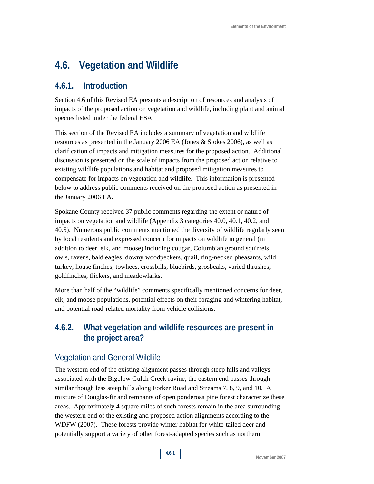# **4.6. Vegetation and Wildlife**

# **4.6.1. Introduction**

Section 4.6 of this Revised EA presents a description of resources and analysis of impacts of the proposed action on vegetation and wildlife, including plant and animal species listed under the federal ESA.

This section of the Revised EA includes a summary of vegetation and wildlife resources as presented in the January 2006 EA (Jones & Stokes 2006), as well as clarification of impacts and mitigation measures for the proposed action. Additional discussion is presented on the scale of impacts from the proposed action relative to existing wildlife populations and habitat and proposed mitigation measures to compensate for impacts on vegetation and wildlife. This information is presented below to address public comments received on the proposed action as presented in the January 2006 EA.

Spokane County received 37 public comments regarding the extent or nature of impacts on vegetation and wildlife (Appendix 3 categories 40.0, 40.1, 40.2, and 40.5). Numerous public comments mentioned the diversity of wildlife regularly seen by local residents and expressed concern for impacts on wildlife in general (in addition to deer, elk, and moose) including cougar, Columbian ground squirrels, owls, ravens, bald eagles, downy woodpeckers, quail, ring-necked pheasants, wild turkey, house finches, towhees, crossbills, bluebirds, grosbeaks, varied thrushes, goldfinches, flickers, and meadowlarks.

More than half of the "wildlife" comments specifically mentioned concerns for deer, elk, and moose populations, potential effects on their foraging and wintering habitat, and potential road-related mortality from vehicle collisions.

# **4.6.2. What vegetation and wildlife resources are present in the project area?**

# Vegetation and General Wildlife

The western end of the existing alignment passes through steep hills and valleys associated with the Bigelow Gulch Creek ravine; the eastern end passes through similar though less steep hills along Forker Road and Streams 7, 8, 9, and 10. A mixture of Douglas-fir and remnants of open ponderosa pine forest characterize these areas. Approximately 4 square miles of such forests remain in the area surrounding the western end of the existing and proposed action alignments according to the WDFW (2007). These forests provide winter habitat for white-tailed deer and potentially support a variety of other forest-adapted species such as northern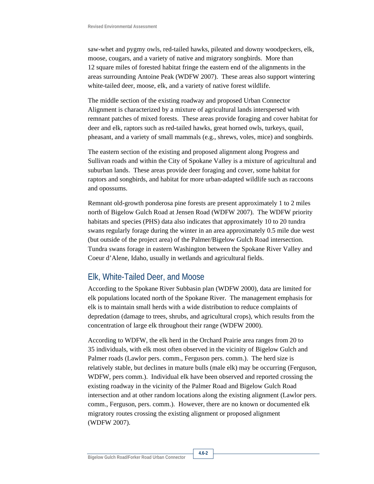saw-whet and pygmy owls, red-tailed hawks, pileated and downy woodpeckers, elk, moose, cougars, and a variety of native and migratory songbirds. More than 12 square miles of forested habitat fringe the eastern end of the alignments in the areas surrounding Antoine Peak (WDFW 2007). These areas also support wintering white-tailed deer, moose, elk, and a variety of native forest wildlife.

The middle section of the existing roadway and proposed Urban Connector Alignment is characterized by a mixture of agricultural lands interspersed with remnant patches of mixed forests. These areas provide foraging and cover habitat for deer and elk, raptors such as red-tailed hawks, great horned owls, turkeys, quail, pheasant, and a variety of small mammals (e.g., shrews, voles, mice) and songbirds.

The eastern section of the existing and proposed alignment along Progress and Sullivan roads and within the City of Spokane Valley is a mixture of agricultural and suburban lands. These areas provide deer foraging and cover, some habitat for raptors and songbirds, and habitat for more urban-adapted wildlife such as raccoons and opossums.

Remnant old-growth ponderosa pine forests are present approximately 1 to 2 miles north of Bigelow Gulch Road at Jensen Road (WDFW 2007). The WDFW priority habitats and species (PHS) data also indicates that approximately 10 to 20 tundra swans regularly forage during the winter in an area approximately 0.5 mile due west (but outside of the project area) of the Palmer/Bigelow Gulch Road intersection. Tundra swans forage in eastern Washington between the Spokane River Valley and Coeur d'Alene, Idaho, usually in wetlands and agricultural fields.

# Elk, White-Tailed Deer, and Moose

According to the Spokane River Subbasin plan (WDFW 2000), data are limited for elk populations located north of the Spokane River. The management emphasis for elk is to maintain small herds with a wide distribution to reduce complaints of depredation (damage to trees, shrubs, and agricultural crops), which results from the concentration of large elk throughout their range (WDFW 2000).

According to WDFW, the elk herd in the Orchard Prairie area ranges from 20 to 35 individuals, with elk most often observed in the vicinity of Bigelow Gulch and Palmer roads (Lawlor pers. comm., Ferguson pers. comm.). The herd size is relatively stable, but declines in mature bulls (male elk) may be occurring (Ferguson, WDFW, pers comm.). Individual elk have been observed and reported crossing the existing roadway in the vicinity of the Palmer Road and Bigelow Gulch Road intersection and at other random locations along the existing alignment (Lawlor pers. comm., Ferguson, pers. comm.). However, there are no known or documented elk migratory routes crossing the existing alignment or proposed alignment (WDFW 2007).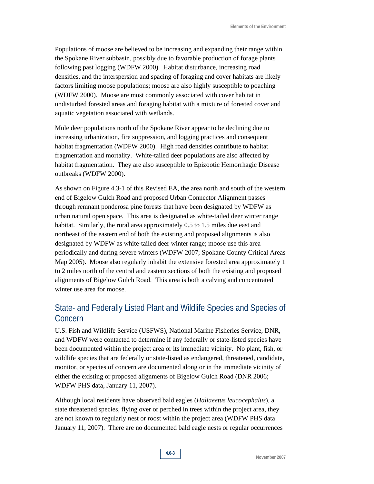Populations of moose are believed to be increasing and expanding their range within the Spokane River subbasin, possibly due to favorable production of forage plants following past logging (WDFW 2000). Habitat disturbance, increasing road densities, and the interspersion and spacing of foraging and cover habitats are likely factors limiting moose populations; moose are also highly susceptible to poaching (WDFW 2000). Moose are most commonly associated with cover habitat in undisturbed forested areas and foraging habitat with a mixture of forested cover and aquatic vegetation associated with wetlands.

Mule deer populations north of the Spokane River appear to be declining due to increasing urbanization, fire suppression, and logging practices and consequent habitat fragmentation (WDFW 2000). High road densities contribute to habitat fragmentation and mortality. White-tailed deer populations are also affected by habitat fragmentation. They are also susceptible to Epizootic Hemorrhagic Disease outbreaks (WDFW 2000).

As shown on Figure 4.3-1 of this Revised EA, the area north and south of the western end of Bigelow Gulch Road and proposed Urban Connector Alignment passes through remnant ponderosa pine forests that have been designated by WDFW as urban natural open space. This area is designated as white-tailed deer winter range habitat. Similarly, the rural area approximately 0.5 to 1.5 miles due east and northeast of the eastern end of both the existing and proposed alignments is also designated by WDFW as white-tailed deer winter range; moose use this area periodically and during severe winters (WDFW 2007; Spokane County Critical Areas Map 2005). Moose also regularly inhabit the extensive forested area approximately 1 to 2 miles north of the central and eastern sections of both the existing and proposed alignments of Bigelow Gulch Road. This area is both a calving and concentrated winter use area for moose.

# State- and Federally Listed Plant and Wildlife Species and Species of Concern

U.S. Fish and Wildlife Service (USFWS), National Marine Fisheries Service, DNR, and WDFW were contacted to determine if any federally or state-listed species have been documented within the project area or its immediate vicinity. No plant, fish, or wildlife species that are federally or state-listed as endangered, threatened, candidate, monitor, or species of concern are documented along or in the immediate vicinity of either the existing or proposed alignments of Bigelow Gulch Road (DNR 2006; WDFW PHS data, January 11, 2007).

Although local residents have observed bald eagles (*Haliaeetus leucocephalus*), a state threatened species, flying over or perched in trees within the project area, they are not known to regularly nest or roost within the project area (WDFW PHS data January 11, 2007). There are no documented bald eagle nests or regular occurrences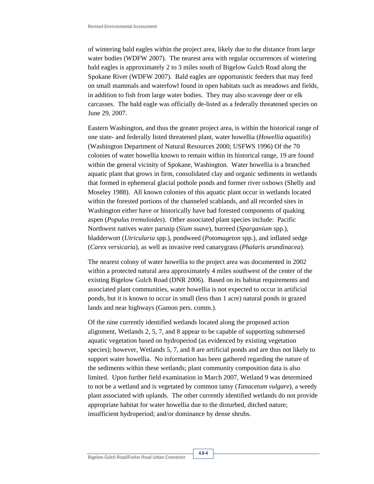of wintering bald eagles within the project area, likely due to the distance from large water bodies (WDFW 2007). The nearest area with regular occurrences of wintering bald eagles is approximately 2 to 3 miles south of Bigelow Gulch Road along the Spokane River (WDFW 2007). Bald eagles are opportunistic feeders that may feed on small mammals and waterfowl found in open habitats such as meadows and fields, in addition to fish from large water bodies. They may also scavenge deer or elk carcasses. The bald eagle was officially de-listed as a federally threatened species on June 29, 2007.

Eastern Washington, and thus the greater project area, is within the historical range of one state- and federally listed threatened plant, water howellia (*Howellia aquatilis*) (Washington Department of Natural Resources 2000; USFWS 1996) Of the 70 colonies of water howellia known to remain within its historical range, 19 are found within the general vicinity of Spokane, Washington. Water howellia is a branched aquatic plant that grows in firm, consolidated clay and organic sediments in wetlands that formed in ephemeral glacial pothole ponds and former river oxbows (Shelly and Moseley 1988). All known colonies of this aquatic plant occur in wetlands located within the forested portions of the channeled scablands, and all recorded sites in Washington either have or historically have had forested components of quaking aspen (*Populus tremuloides*). Other associated plant species include: Pacific Northwest natives water parsnip (*Sium suave*), burreed (*Sparganium* spp.), bladderwort (*Utricularia* spp.), pondweed (*Potomageton* spp.), and inflated sedge (*Carex versicaria*), as well as invasive reed canarygrass (*Phalaris arundinacea*).

The nearest colony of water howellia to the project area was documented in 2002 within a protected natural area approximately 4 miles southwest of the center of the existing Bigelow Gulch Road (DNR 2006). Based on its habitat requirements and associated plant communities, water howellia is not expected to occur in artificial ponds, but it is known to occur in small (less than 1 acre) natural ponds in grazed lands and near highways (Gamon pers. comm.).

Of the nine currently identified wetlands located along the proposed action alignment, Wetlands 2, 5, 7, and 8 appear to be capable of supporting submersed aquatic vegetation based on hydroperiod (as evidenced by existing vegetation species); however, Wetlands 5, 7, and 8 are artificial ponds and are thus not likely to support water howellia. No information has been gathered regarding the nature of the sediments within these wetlands; plant community composition data is also limited. Upon further field examination in March 2007, Wetland 9 was determined to not be a wetland and is vegetated by common tansy (*Tanacetum vulgare*), a weedy plant associated with uplands. The other currently identified wetlands do not provide appropriate habitat for water howellia due to the disturbed, ditched nature; insufficient hydroperiod; and/or dominance by dense shrubs.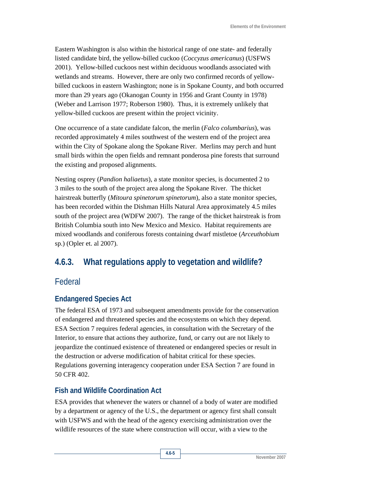Eastern Washington is also within the historical range of one state- and federally listed candidate bird, the yellow-billed cuckoo (*Coccyzus americanus*) (USFWS 2001). Yellow-billed cuckoos nest within deciduous woodlands associated with wetlands and streams. However, there are only two confirmed records of yellowbilled cuckoos in eastern Washington; none is in Spokane County, and both occurred more than 29 years ago (Okanogan County in 1956 and Grant County in 1978) (Weber and Larrison 1977; Roberson 1980). Thus, it is extremely unlikely that yellow-billed cuckoos are present within the project vicinity.

One occurrence of a state candidate falcon, the merlin (*Falco columbarius*), was recorded approximately 4 miles southwest of the western end of the project area within the City of Spokane along the Spokane River. Merlins may perch and hunt small birds within the open fields and remnant ponderosa pine forests that surround the existing and proposed alignments.

Nesting osprey (*Pandion haliaetus*), a state monitor species, is documented 2 to 3 miles to the south of the project area along the Spokane River. The thicket hairstreak butterfly (*Mitoura spinetorum spinetorum*), also a state monitor species, has been recorded within the Dishman Hills Natural Area approximately 4.5 miles south of the project area (WDFW 2007). The range of the thicket hairstreak is from British Columbia south into New Mexico and Mexico. Habitat requirements are mixed woodlands and coniferous forests containing dwarf mistletoe (*Arceuthobium* sp.) (Opler et. al 2007).

# **4.6.3. What regulations apply to vegetation and wildlife?**

# Federal

### **Endangered Species Act**

The federal ESA of 1973 and subsequent amendments provide for the conservation of endangered and threatened species and the ecosystems on which they depend. ESA Section 7 requires federal agencies, in consultation with the Secretary of the Interior, to ensure that actions they authorize, fund, or carry out are not likely to jeopardize the continued existence of threatened or endangered species or result in the destruction or adverse modification of habitat critical for these species. Regulations governing interagency cooperation under ESA Section 7 are found in 50 CFR 402.

### **Fish and Wildlife Coordination Act**

ESA provides that whenever the waters or channel of a body of water are modified by a department or agency of the U.S., the department or agency first shall consult with USFWS and with the head of the agency exercising administration over the wildlife resources of the state where construction will occur, with a view to the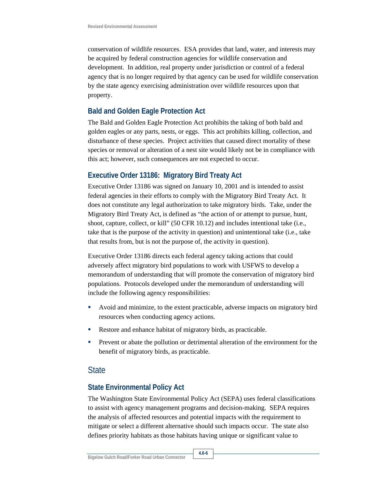conservation of wildlife resources. ESA provides that land, water, and interests may be acquired by federal construction agencies for wildlife conservation and development. In addition, real property under jurisdiction or control of a federal agency that is no longer required by that agency can be used for wildlife conservation by the state agency exercising administration over wildlife resources upon that property.

#### **Bald and Golden Eagle Protection Act**

The Bald and Golden Eagle Protection Act prohibits the taking of both bald and golden eagles or any parts, nests, or eggs. This act prohibits killing, collection, and disturbance of these species. Project activities that caused direct mortality of these species or removal or alteration of a nest site would likely not be in compliance with this act; however, such consequences are not expected to occur.

### **Executive Order 13186: Migratory Bird Treaty Act**

Executive Order 13186 was signed on January 10, 2001 and is intended to assist federal agencies in their efforts to comply with the Migratory Bird Treaty Act. It does not constitute any legal authorization to take migratory birds. Take, under the Migratory Bird Treaty Act, is defined as "the action of or attempt to pursue, hunt, shoot, capture, collect, or kill" (50 CFR 10.12) and includes intentional take (i.e., take that is the purpose of the activity in question) and unintentional take (i.e., take that results from, but is not the purpose of, the activity in question).

Executive Order 13186 directs each federal agency taking actions that could adversely affect migratory bird populations to work with USFWS to develop a memorandum of understanding that will promote the conservation of migratory bird populations. Protocols developed under the memorandum of understanding will include the following agency responsibilities:

- Avoid and minimize, to the extent practicable, adverse impacts on migratory bird resources when conducting agency actions.
- Restore and enhance habitat of migratory birds, as practicable.
- **Prevent or abate the pollution or detrimental alteration of the environment for the** benefit of migratory birds, as practicable.

### **State**

### **State Environmental Policy Act**

The Washington State Environmental Policy Act (SEPA) uses federal classifications to assist with agency management programs and decision-making. SEPA requires the analysis of affected resources and potential impacts with the requirement to mitigate or select a different alternative should such impacts occur. The state also defines priority habitats as those habitats having unique or significant value to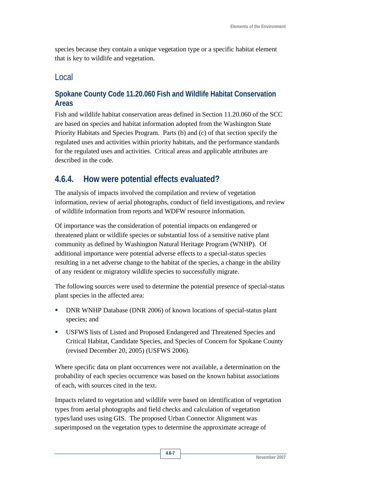species because they contain a unique vegetation type or a specific habitat element that is key to wildlife and vegetation.

# Local

### **Spokane County Code 11.20.060 Fish and Wildlife Habitat Conservation Areas**

Fish and wildlife habitat conservation areas defined in Section 11.20.060 of the SCC are based on species and habitat information adopted from the Washington State Priority Habitats and Species Program. Parts (b) and (c) of that section specify the regulated uses and activities within priority habitats, and the performance standards for the regulated uses and activities. Critical areas and applicable attributes are described in the code.

# **4.6.4. How were potential effects evaluated?**

The analysis of impacts involved the compilation and review of vegetation information, review of aerial photographs, conduct of field investigations, and review of wildlife information from reports and WDFW resource information.

Of importance was the consideration of potential impacts on endangered or threatened plant or wildlife species or substantial loss of a sensitive native plant community as defined by Washington Natural Heritage Program (WNHP). Of additional importance were potential adverse effects to a special-status species resulting in a net adverse change to the habitat of the species, a change in the ability of any resident or migratory wildlife species to successfully migrate.

The following sources were used to determine the potential presence of special-status plant species in the affected area:

- **DNR WNHP Database (DNR 2006) of known locations of special-status plant** species; and
- USFWS lists of Listed and Proposed Endangered and Threatened Species and Critical Habitat, Candidate Species, and Species of Concern for Spokane County (revised December 20, 2005) (USFWS 2006).

Where specific data on plant occurrences were not available, a determination on the probability of each species occurrence was based on the known habitat associations of each, with sources cited in the text.

Impacts related to vegetation and wildlife were based on identification of vegetation types from aerial photographs and field checks and calculation of vegetation types/land uses using GIS. The proposed Urban Connector Alignment was superimposed on the vegetation types to determine the approximate acreage of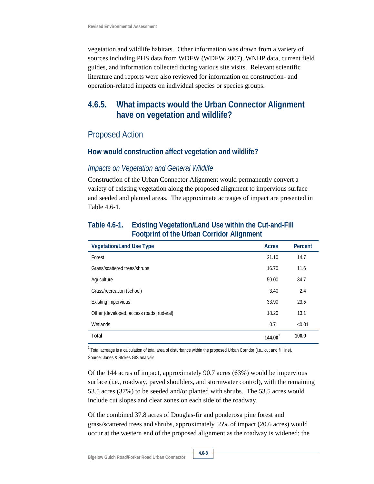vegetation and wildlife habitats. Other information was drawn from a variety of sources including PHS data from WDFW (WDFW 2007), WNHP data, current field guides, and information collected during various site visits. Relevant scientific literature and reports were also reviewed for information on construction- and operation-related impacts on individual species or species groups.

# **4.6.5. What impacts would the Urban Connector Alignment have on vegetation and wildlife?**

# Proposed Action

#### **How would construction affect vegetation and wildlife?**

#### *Impacts on Vegetation and General Wildlife*

Construction of the Urban Connector Alignment would permanently convert a variety of existing vegetation along the proposed alignment to impervious surface and seeded and planted areas. The approximate acreages of impact are presented in Table 4.6-1.

| <b>Vegetation/Land Use Type</b>          | <b>Acres</b>          | Percent |
|------------------------------------------|-----------------------|---------|
| Forest                                   | 21.10                 | 14.7    |
| Grass/scattered trees/shrubs             | 16.70                 | 11.6    |
| Agriculture                              | 50.00                 | 34.7    |
| Grass/recreation (school)                | 3.40                  | 2.4     |
| <b>Existing impervious</b>               | 33.90                 | 23.5    |
| Other (developed, access roads, ruderal) | 18.20                 | 13.1    |
| Wetlands                                 | 0.71                  | < 0.01  |
| Total                                    | $144.00$ <sup>1</sup> | 100.0   |

### **Table 4.6-1. Existing Vegetation/Land Use within the Cut-and-Fill Footprint of the Urban Corridor Alignment**

<sup>1</sup> Total acreage is a calculation of total area of disturbance within the proposed Urban Corridor (i.e., cut and fill line). Source: Jones & Stokes GIS analysis

Of the 144 acres of impact, approximately 90.7 acres (63%) would be impervious surface (i.e., roadway, paved shoulders, and stormwater control), with the remaining 53.5 acres (37%) to be seeded and/or planted with shrubs. The 53.5 acres would include cut slopes and clear zones on each side of the roadway.

Of the combined 37.8 acres of Douglas-fir and ponderosa pine forest and grass/scattered trees and shrubs, approximately 55% of impact (20.6 acres) would occur at the western end of the proposed alignment as the roadway is widened; the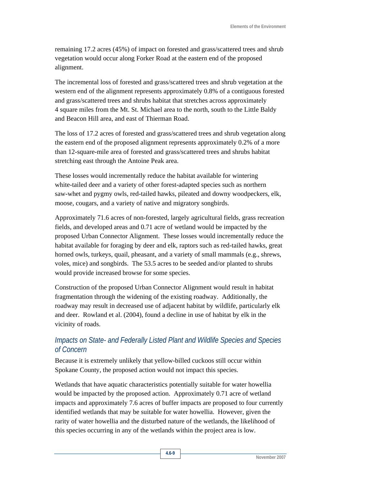remaining 17.2 acres (45%) of impact on forested and grass/scattered trees and shrub vegetation would occur along Forker Road at the eastern end of the proposed alignment.

The incremental loss of forested and grass/scattered trees and shrub vegetation at the western end of the alignment represents approximately 0.8% of a contiguous forested and grass/scattered trees and shrubs habitat that stretches across approximately 4 square miles from the Mt. St. Michael area to the north, south to the Little Baldy and Beacon Hill area, and east of Thierman Road.

The loss of 17.2 acres of forested and grass/scattered trees and shrub vegetation along the eastern end of the proposed alignment represents approximately 0.2% of a more than 12-square-mile area of forested and grass/scattered trees and shrubs habitat stretching east through the Antoine Peak area.

These losses would incrementally reduce the habitat available for wintering white-tailed deer and a variety of other forest-adapted species such as northern saw-whet and pygmy owls, red-tailed hawks, pileated and downy woodpeckers, elk, moose, cougars, and a variety of native and migratory songbirds.

Approximately 71.6 acres of non-forested, largely agricultural fields, grass recreation fields, and developed areas and 0.71 acre of wetland would be impacted by the proposed Urban Connector Alignment. These losses would incrementally reduce the habitat available for foraging by deer and elk, raptors such as red-tailed hawks, great horned owls, turkeys, quail, pheasant, and a variety of small mammals (e.g., shrews, voles, mice) and songbirds. The 53.5 acres to be seeded and/or planted to shrubs would provide increased browse for some species.

Construction of the proposed Urban Connector Alignment would result in habitat fragmentation through the widening of the existing roadway. Additionally, the roadway may result in decreased use of adjacent habitat by wildlife, particularly elk and deer. Rowland et al. (2004), found a decline in use of habitat by elk in the vicinity of roads.

### *Impacts on State- and Federally Listed Plant and Wildlife Species and Species of Concern*

Because it is extremely unlikely that yellow-billed cuckoos still occur within Spokane County, the proposed action would not impact this species.

Wetlands that have aquatic characteristics potentially suitable for water howellia would be impacted by the proposed action. Approximately 0.71 acre of wetland impacts and approximately 7.6 acres of buffer impacts are proposed to four currently identified wetlands that may be suitable for water howellia. However, given the rarity of water howellia and the disturbed nature of the wetlands, the likelihood of this species occurring in any of the wetlands within the project area is low.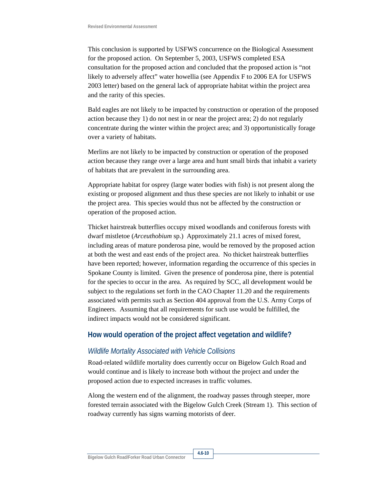This conclusion is supported by USFWS concurrence on the Biological Assessment for the proposed action. On September 5, 2003, USFWS completed ESA consultation for the proposed action and concluded that the proposed action is "not likely to adversely affect" water howellia (see Appendix F to 2006 EA for USFWS 2003 letter) based on the general lack of appropriate habitat within the project area and the rarity of this species.

Bald eagles are not likely to be impacted by construction or operation of the proposed action because they 1) do not nest in or near the project area; 2) do not regularly concentrate during the winter within the project area; and 3) opportunistically forage over a variety of habitats.

Merlins are not likely to be impacted by construction or operation of the proposed action because they range over a large area and hunt small birds that inhabit a variety of habitats that are prevalent in the surrounding area.

Appropriate habitat for osprey (large water bodies with fish) is not present along the existing or proposed alignment and thus these species are not likely to inhabit or use the project area. This species would thus not be affected by the construction or operation of the proposed action.

Thicket hairstreak butterflies occupy mixed woodlands and coniferous forests with dwarf mistletoe (*Arceuthobium* sp.) Approximately 21.1 acres of mixed forest, including areas of mature ponderosa pine, would be removed by the proposed action at both the west and east ends of the project area. No thicket hairstreak butterflies have been reported; however, information regarding the occurrence of this species in Spokane County is limited. Given the presence of ponderosa pine, there is potential for the species to occur in the area. As required by SCC, all development would be subject to the regulations set forth in the CAO Chapter 11.20 and the requirements associated with permits such as Section 404 approval from the U.S. Army Corps of Engineers. Assuming that all requirements for such use would be fulfilled, the indirect impacts would not be considered significant.

#### **How would operation of the project affect vegetation and wildlife?**

#### *Wildlife Mortality Associated with Vehicle Collisions*

Road-related wildlife mortality does currently occur on Bigelow Gulch Road and would continue and is likely to increase both without the project and under the proposed action due to expected increases in traffic volumes.

Along the western end of the alignment, the roadway passes through steeper, more forested terrain associated with the Bigelow Gulch Creek (Stream 1). This section of roadway currently has signs warning motorists of deer.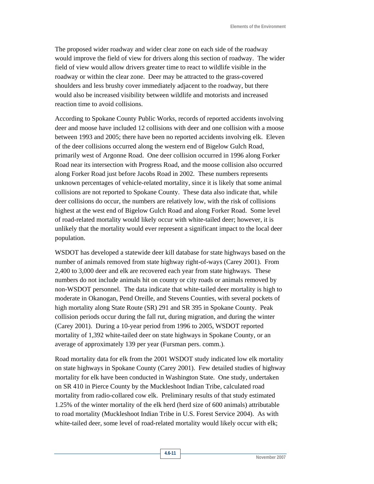The proposed wider roadway and wider clear zone on each side of the roadway would improve the field of view for drivers along this section of roadway. The wider field of view would allow drivers greater time to react to wildlife visible in the roadway or within the clear zone. Deer may be attracted to the grass-covered shoulders and less brushy cover immediately adjacent to the roadway, but there would also be increased visibility between wildlife and motorists and increased reaction time to avoid collisions.

According to Spokane County Public Works, records of reported accidents involving deer and moose have included 12 collisions with deer and one collision with a moose between 1993 and 2005; there have been no reported accidents involving elk. Eleven of the deer collisions occurred along the western end of Bigelow Gulch Road, primarily west of Argonne Road. One deer collision occurred in 1996 along Forker Road near its intersection with Progress Road, and the moose collision also occurred along Forker Road just before Jacobs Road in 2002. These numbers represents unknown percentages of vehicle-related mortality, since it is likely that some animal collisions are not reported to Spokane County. These data also indicate that, while deer collisions do occur, the numbers are relatively low, with the risk of collisions highest at the west end of Bigelow Gulch Road and along Forker Road. Some level of road-related mortality would likely occur with white-tailed deer; however, it is unlikely that the mortality would ever represent a significant impact to the local deer population.

WSDOT has developed a statewide deer kill database for state highways based on the number of animals removed from state highway right-of-ways (Carey 2001). From 2,400 to 3,000 deer and elk are recovered each year from state highways. These numbers do not include animals hit on county or city roads or animals removed by non-WSDOT personnel. The data indicate that white-tailed deer mortality is high to moderate in Okanogan, Pend Oreille, and Stevens Counties, with several pockets of high mortality along State Route (SR) 291 and SR 395 in Spokane County. Peak collision periods occur during the fall rut, during migration, and during the winter (Carey 2001). During a 10-year period from 1996 to 2005, WSDOT reported mortality of 1,392 white-tailed deer on state highways in Spokane County, or an average of approximately 139 per year (Fursman pers. comm.).

Road mortality data for elk from the 2001 WSDOT study indicated low elk mortality on state highways in Spokane County (Carey 2001). Few detailed studies of highway mortality for elk have been conducted in Washington State. One study, undertaken on SR 410 in Pierce County by the Muckleshoot Indian Tribe, calculated road mortality from radio-collared cow elk. Preliminary results of that study estimated 1.25% of the winter mortality of the elk herd (herd size of 600 animals) attributable to road mortality (Muckleshoot Indian Tribe in U.S. Forest Service 2004). As with white-tailed deer, some level of road-related mortality would likely occur with elk;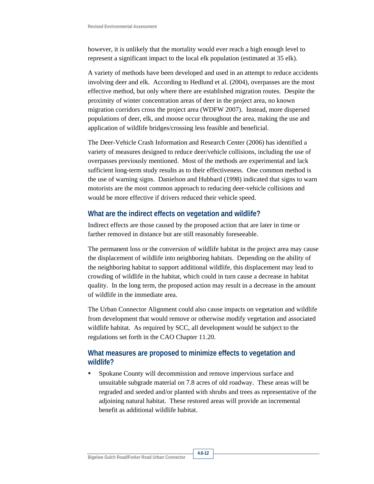however, it is unlikely that the mortality would ever reach a high enough level to represent a significant impact to the local elk population (estimated at 35 elk).

A variety of methods have been developed and used in an attempt to reduce accidents involving deer and elk. According to Hedlund et al. (2004), overpasses are the most effective method, but only where there are established migration routes. Despite the proximity of winter concentration areas of deer in the project area, no known migration corridors cross the project area (WDFW 2007). Instead, more dispersed populations of deer, elk, and moose occur throughout the area, making the use and application of wildlife bridges/crossing less feasible and beneficial.

The Deer-Vehicle Crash Information and Research Center (2006) has identified a variety of measures designed to reduce deer/vehicle collisions, including the use of overpasses previously mentioned. Most of the methods are experimental and lack sufficient long-term study results as to their effectiveness. One common method is the use of warning signs. Danielson and Hubbard (1998) indicated that signs to warn motorists are the most common approach to reducing deer-vehicle collisions and would be more effective if drivers reduced their vehicle speed.

#### **What are the indirect effects on vegetation and wildlife?**

Indirect effects are those caused by the proposed action that are later in time or farther removed in distance but are still reasonably foreseeable.

The permanent loss or the conversion of wildlife habitat in the project area may cause the displacement of wildlife into neighboring habitats. Depending on the ability of the neighboring habitat to support additional wildlife, this displacement may lead to crowding of wildlife in the habitat, which could in turn cause a decrease in habitat quality. In the long term, the proposed action may result in a decrease in the amount of wildlife in the immediate area.

The Urban Connector Alignment could also cause impacts on vegetation and wildlife from development that would remove or otherwise modify vegetation and associated wildlife habitat. As required by SCC, all development would be subject to the regulations set forth in the CAO Chapter 11.20.

### **What measures are proposed to minimize effects to vegetation and wildlife?**

**Spokane County will decommission and remove impervious surface and** unsuitable subgrade material on 7.8 acres of old roadway. These areas will be regraded and seeded and/or planted with shrubs and trees as representative of the adjoining natural habitat. These restored areas will provide an incremental benefit as additional wildlife habitat.